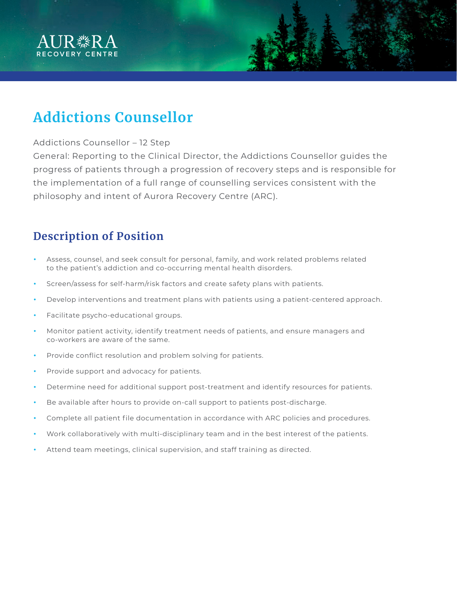

# **Addictions Counsellor**

#### Addictions Counsellor – 12 Step

General: Reporting to the Clinical Director, the Addictions Counsellor guides the progress of patients through a progression of recovery steps and is responsible for the implementation of a full range of counselling services consistent with the philosophy and intent of Aurora Recovery Centre (ARC).

### **Description of Position**

- Assess, counsel, and seek consult for personal, family, and work related problems related to the patient's addiction and co-occurring mental health disorders.
- Screen/assess for self-harm/risk factors and create safety plans with patients.
- Develop interventions and treatment plans with patients using a patient-centered approach.
- Facilitate psycho-educational groups.
- Monitor patient activity, identify treatment needs of patients, and ensure managers and co-workers are aware of the same.
- Provide conflict resolution and problem solving for patients.
- Provide support and advocacy for patients.
- Determine need for additional support post-treatment and identify resources for patients.
- Be available after hours to provide on-call support to patients post-discharge.
- Complete all patient file documentation in accordance with ARC policies and procedures.
- Work collaboratively with multi-disciplinary team and in the best interest of the patients.
- Attend team meetings, clinical supervision, and staff training as directed.